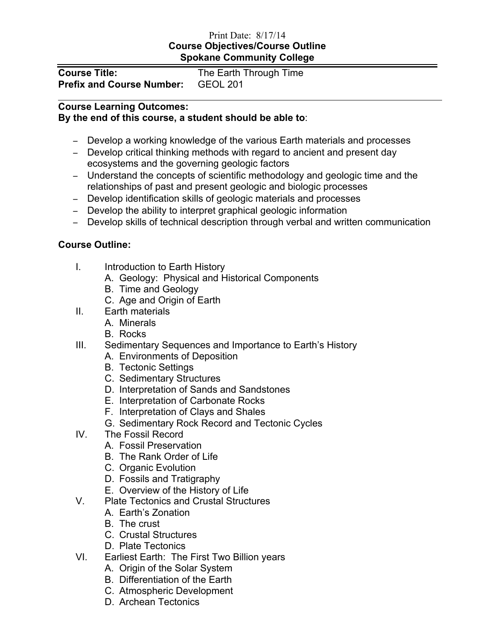## Print Date: 8/17/14 **Course Objectives/Course Outline Spokane Community College**

| <b>Course Title:</b>                      | The Earth Through Time |
|-------------------------------------------|------------------------|
| <b>Prefix and Course Number:</b> GEOL 201 |                        |

## **Course Learning Outcomes:**

## **By the end of this course, a student should be able to**:

- − Develop a working knowledge of the various Earth materials and processes
- − Develop critical thinking methods with regard to ancient and present day ecosystems and the governing geologic factors
- − Understand the concepts of scientific methodology and geologic time and the relationships of past and present geologic and biologic processes
- − Develop identification skills of geologic materials and processes
- − Develop the ability to interpret graphical geologic information
- − Develop skills of technical description through verbal and written communication

## **Course Outline:**

- I. Introduction to Earth History
	- A. Geology: Physical and Historical Components
	- B. Time and Geology
	- C. Age and Origin of Earth
- II. Earth materials
	- A. Minerals
	- B. Rocks
- III. Sedimentary Sequences and Importance to Earth's History
	- A. Environments of Deposition
	- B. Tectonic Settings
	- C. Sedimentary Structures
	- D. Interpretation of Sands and Sandstones
	- E. Interpretation of Carbonate Rocks
	- F. Interpretation of Clays and Shales
	- G. Sedimentary Rock Record and Tectonic Cycles
- IV. The Fossil Record
	- A. Fossil Preservation
	- B. The Rank Order of Life
	- C. Organic Evolution
	- D. Fossils and Tratigraphy
	- E. Overview of the History of Life
- V. Plate Tectonics and Crustal Structures
	- A. Earth's Zonation
	- B. The crust
	- C. Crustal Structures
	- D. Plate Tectonics
- VI. Earliest Earth: The First Two Billion years
	- A. Origin of the Solar System
	- B. Differentiation of the Earth
	- C. Atmospheric Development
	- D. Archean Tectonics